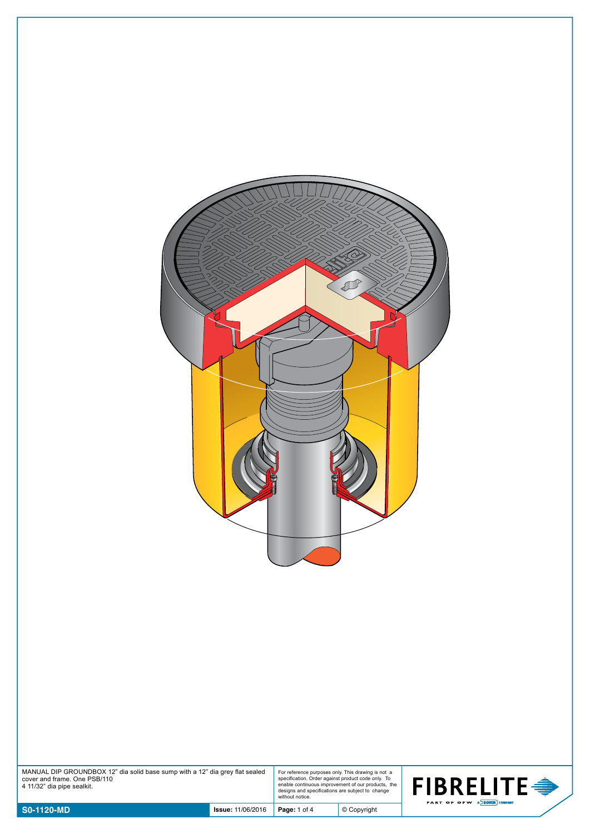

| MANUAL DIP GROUNDBOX 12" dia solid base sump with a 12" dia grey flat sealed | For reference  |
|------------------------------------------------------------------------------|----------------|
| cover and frame. One PSB/110                                                 | specification. |
| 4 11/32" dia pipe sealkit.                                                   | enable contin  |
|                                                                              | designs and s  |

For reference purposes only. This drawing is not a specification. Order against product code only. To enable continuous improvement of our products, the designs and specifications are subject to change without notice.

© Copyright

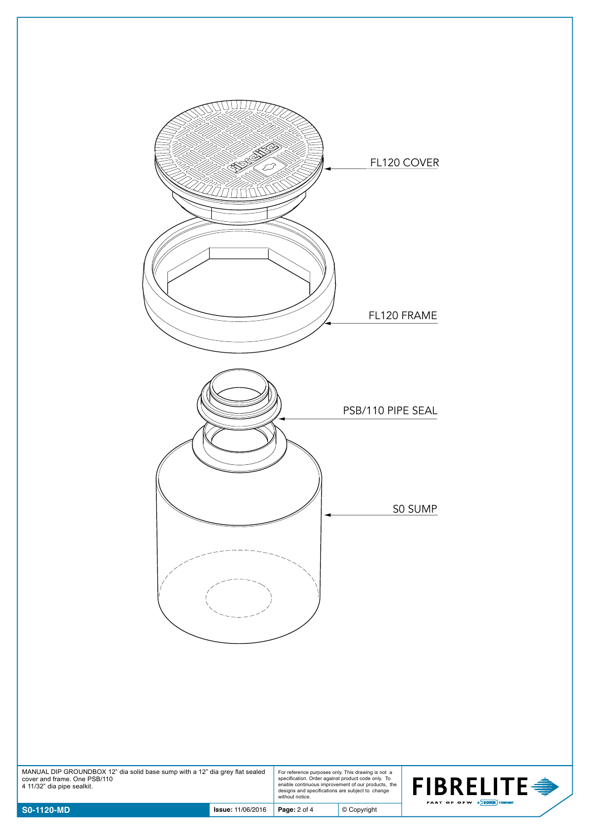

| $\sim$ S0-1120-MD                                                                                                                          | <b>Issue: 11/06/2016</b> | <b>Page: 2 of 4</b>                                                                                                                                                                                                                   | © Copyright |
|--------------------------------------------------------------------------------------------------------------------------------------------|--------------------------|---------------------------------------------------------------------------------------------------------------------------------------------------------------------------------------------------------------------------------------|-------------|
| MANUAL DIP GROUNDBOX 12" dia solid base sump with a 12" dia grey flat sealed<br>cover and frame. One PSB/110<br>4 11/32" dia pipe sealkit. |                          | For reference purposes only. This drawing is not a<br>specification. Order against product code only. To<br>enable continuous improvement of our products, the<br>designs and specifications are subject to change<br>without notice. |             |

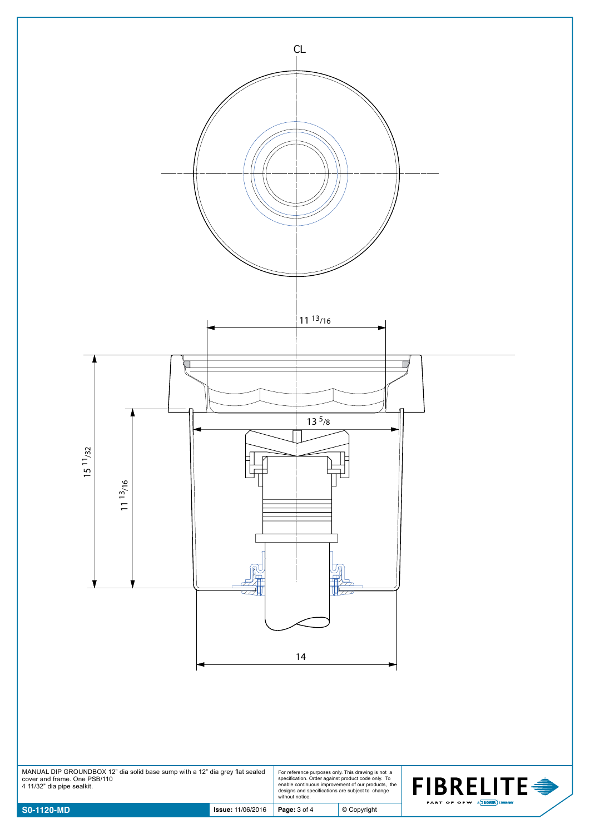